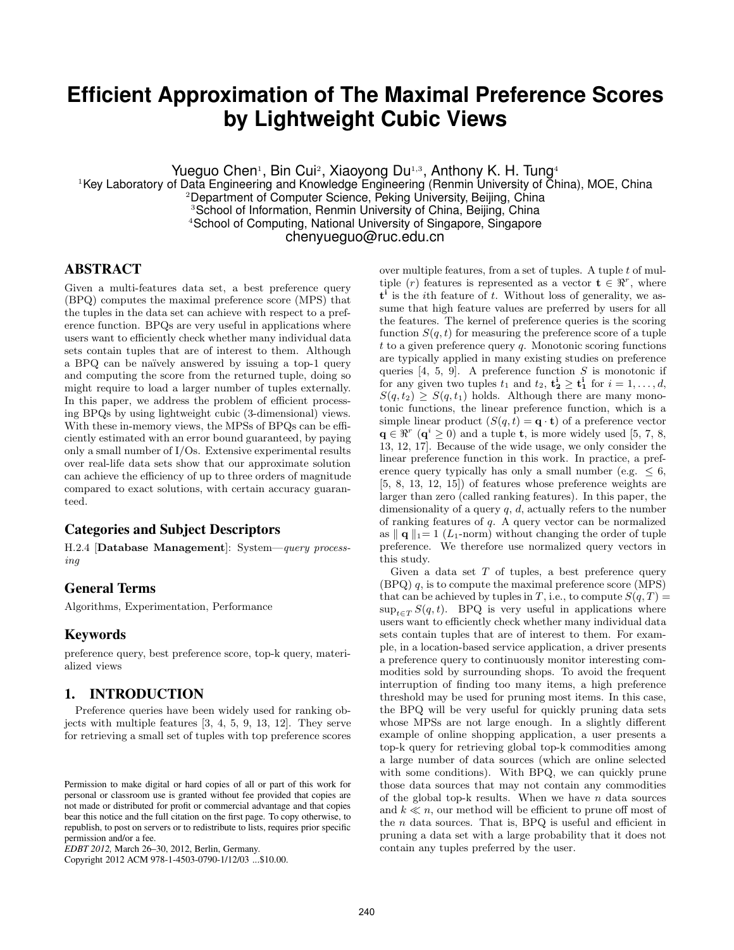## **Efficient Approximation of The Maximal Preference Scores by Lightweight Cubic Views**

Yueguo Chen<sup>1</sup>, Bin Cui<sup>2</sup>, Xiaoyong Du<sup>1,3</sup>, Anthony K. H. Tung<sup>4</sup>

<sup>1</sup>Key Laboratory of Data Engineering and Knowledge Engineering (Renmin University of China), MOE, China <sup>2</sup>Department of Computer Science, Peking University, Beijing, China <sup>3</sup> School of Information, Renmin University of China, Beijing, China <sup>4</sup>School of Computing, National University of Singapore, Singapore chenyueguo@ruc.edu.cn

#### **ABSTRACT**

Given a multi-features data set, a best preference query (BPQ) computes the maximal preference score (MPS) that the tuples in the data set can achieve with respect to a preference function. BPQs are very useful in applications where users want to efficiently check whether many individual data sets contain tuples that are of interest to them. Although a BPQ can be na¨ıvely answered by issuing a top-1 query and computing the score from the returned tuple, doing so might require to load a larger number of tuples externally. In this paper, we address the problem of efficient processing BPQs by using lightweight cubic (3-dimensional) views. With these in-memory views, the MPSs of BPQs can be efficiently estimated with an error bound guaranteed, by paying only a small number of I/Os. Extensive experimental results over real-life data sets show that our approximate solution can achieve the efficiency of up to three orders of magnitude compared to exact solutions, with certain accuracy guaranteed.

#### **Categories and Subject Descriptors**

H.2.4 [Database Management]: System—query processing

#### **General Terms**

Algorithms, Experimentation, Performance

#### **Keywords**

preference query, best preference score, top-k query, materialized views

#### **1. INTRODUCTION**

Preference queries have been widely used for ranking objects with multiple features [3, 4, 5, 9, 13, 12]. They serve for retrieving a small set of tuples with top preference scores

Copyright 2012 ACM 978-1-4503-0790-1/12/03 ...\$10.00.

over multiple features, from a set of tuples. A tuple  $t$  of multiple (r) features is represented as a vector  $\mathbf{t} \in \mathbb{R}^r$ , where  $t^i$  is the *i*th feature of t. Without loss of generality, we assume that high feature values are preferred by users for all the features. The kernel of preference queries is the scoring function  $S(q, t)$  for measuring the preference score of a tuple  $t$  to a given preference query  $q$ . Monotonic scoring functions are typically applied in many existing studies on preference queries  $[4, 5, 9]$ . A preference function S is monotonic if for any given two tuples  $t_1$  and  $t_2$ ,  $\mathbf{t}_2^i \geq \mathbf{t}_1^i$  for  $i = 1, ..., d$ ,  $S(q, t_2) \geq S(q, t_1)$  holds. Although there are many monotonic functions, the linear preference function, which is a simple linear product  $(S(q, t) = \mathbf{q} \cdot \mathbf{t})$  of a preference vector  $\mathbf{q} \in \mathbb{R}^r \ (\mathbf{q}^i \geq 0)$  and a tuple **t**, is more widely used [5, 7, 8, 13, 12, 17]. Because of the wide usage, we only consider the linear preference function in this work. In practice, a preference query typically has only a small number (e.g.  $\leq 6$ , [5, 8, 13, 12, 15]) of features whose preference weights are larger than zero (called ranking features). In this paper, the dimensionality of a query  $q, d$ , actually refers to the number of ranking features of q. A query vector can be normalized as  $\| \mathbf{q} \|_1 = 1$  (L<sub>1</sub>-norm) without changing the order of tuple preference. We therefore use normalized query vectors in this study.

Given a data set  $T$  of tuples, a best preference query  $(BPQ)$  q, is to compute the maximal preference score  $(MPS)$ that can be achieved by tuples in T, i.e., to compute  $S(q,T)$  $\sup_{t\in\mathcal{T}} S(q,t)$ . BPQ is very useful in applications where users want to efficiently check whether many individual data sets contain tuples that are of interest to them. For example, in a location-based service application, a driver presents a preference query to continuously monitor interesting commodities sold by surrounding shops. To avoid the frequent interruption of finding too many items, a high preference threshold may be used for pruning most items. In this case, the BPQ will be very useful for quickly pruning data sets whose MPSs are not large enough. In a slightly different example of online shopping application, a user presents a top-k query for retrieving global top-k commodities among a large number of data sources (which are online selected with some conditions). With BPQ, we can quickly prune those data sources that may not contain any commodities of the global top-k results. When we have  $n$  data sources and  $k \ll n$ , our method will be efficient to prune off most of the  $n$  data sources. That is, BPQ is useful and efficient in pruning a data set with a large probability that it does not contain any tuples preferred by the user.

Permission to make digital or hard copies of all or part of this work for personal or classroom use is granted without fee provided that copies are not made or distributed for profit or commercial advantage and that copies bear this notice and the full citation on the first page. To copy otherwise, to republish, to post on servers or to redistribute to lists, requires prior specific permission and/or a fee.

*EDBT 2012,* March 26–30, 2012, Berlin, Germany.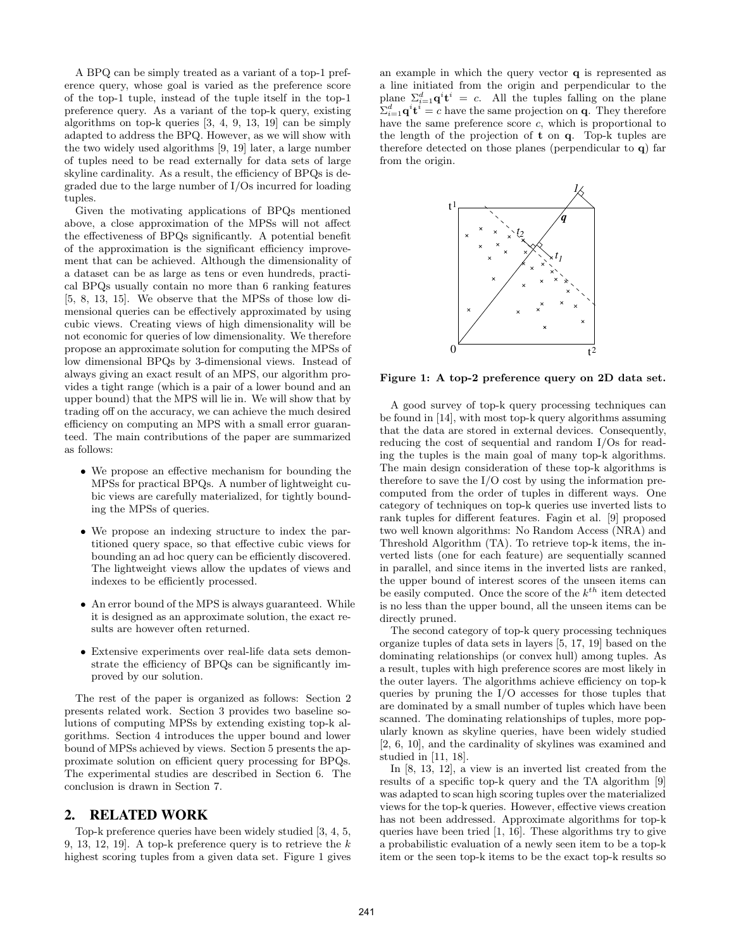A BPQ can be simply treated as a variant of a top-1 preference query, whose goal is varied as the preference score of the top-1 tuple, instead of the tuple itself in the top-1 preference query. As a variant of the top-k query, existing algorithms on top-k queries [3, 4, 9, 13, 19] can be simply adapted to address the BPQ. However, as we will show with the two widely used algorithms [9, 19] later, a large number of tuples need to be read externally for data sets of large skyline cardinality. As a result, the efficiency of BPQs is degraded due to the large number of I/Os incurred for loading tuples.

Given the motivating applications of BPQs mentioned above, a close approximation of the MPSs will not affect the effectiveness of BPQs significantly. A potential benefit of the approximation is the significant efficiency improvement that can be achieved. Although the dimensionality of a dataset can be as large as tens or even hundreds, practical BPQs usually contain no more than 6 ranking features [5, 8, 13, 15]. We observe that the MPSs of those low dimensional queries can be effectively approximated by using cubic views. Creating views of high dimensionality will be not economic for queries of low dimensionality. We therefore propose an approximate solution for computing the MPSs of low dimensional BPQs by 3-dimensional views. Instead of always giving an exact result of an MPS, our algorithm provides a tight range (which is a pair of a lower bound and an upper bound) that the MPS will lie in. We will show that by trading off on the accuracy, we can achieve the much desired efficiency on computing an MPS with a small error guaranteed. The main contributions of the paper are summarized as follows:

- We propose an effective mechanism for bounding the MPSs for practical BPQs. A number of lightweight cubic views are carefully materialized, for tightly bounding the MPSs of queries.
- We propose an indexing structure to index the partitioned query space, so that effective cubic views for bounding an ad hoc query can be efficiently discovered. The lightweight views allow the updates of views and indexes to be efficiently processed.
- An error bound of the MPS is always guaranteed. While it is designed as an approximate solution, the exact results are however often returned.
- Extensive experiments over real-life data sets demonstrate the efficiency of BPQs can be significantly improved by our solution.

The rest of the paper is organized as follows: Section 2 presents related work. Section 3 provides two baseline solutions of computing MPSs by extending existing top-k algorithms. Section 4 introduces the upper bound and lower bound of MPSs achieved by views. Section 5 presents the approximate solution on efficient query processing for BPQs. The experimental studies are described in Section 6. The conclusion is drawn in Section 7.

#### **2. RELATED WORK**

Top-k preference queries have been widely studied [3, 4, 5, 9, 13, 12, 19. A top-k preference query is to retrieve the  $k$ highest scoring tuples from a given data set. Figure 1 gives an example in which the query vector q is represented as a line initiated from the origin and perpendicular to the plane  $\Sigma_{i=1}^d \mathbf{q}^i \mathbf{t}^i = c$ . All the tuples falling on the plane  $\sum_{i=1}^d \mathbf{q}^i \mathbf{t}^i = c$  have the same projection on **q**. They therefore have the same preference score c, which is proportional to the length of the projection of t on q. Top-k tuples are therefore detected on those planes (perpendicular to q) far from the origin.



Figure 1: A top-2 preference query on 2D data set.

A good survey of top-k query processing techniques can be found in [14], with most top-k query algorithms assuming that the data are stored in external devices. Consequently, reducing the cost of sequential and random I/Os for reading the tuples is the main goal of many top-k algorithms. The main design consideration of these top-k algorithms is therefore to save the I/O cost by using the information precomputed from the order of tuples in different ways. One category of techniques on top-k queries use inverted lists to rank tuples for different features. Fagin et al. [9] proposed two well known algorithms: No Random Access (NRA) and Threshold Algorithm (TA). To retrieve top-k items, the inverted lists (one for each feature) are sequentially scanned in parallel, and since items in the inverted lists are ranked, the upper bound of interest scores of the unseen items can be easily computed. Once the score of the  $k^{th}$  item detected is no less than the upper bound, all the unseen items can be directly pruned.

The second category of top-k query processing techniques organize tuples of data sets in layers [5, 17, 19] based on the dominating relationships (or convex hull) among tuples. As a result, tuples with high preference scores are most likely in the outer layers. The algorithms achieve efficiency on top-k queries by pruning the I/O accesses for those tuples that are dominated by a small number of tuples which have been scanned. The dominating relationships of tuples, more popularly known as skyline queries, have been widely studied [2, 6, 10], and the cardinality of skylines was examined and studied in [11, 18].

In [8, 13, 12], a view is an inverted list created from the results of a specific top-k query and the TA algorithm [9] was adapted to scan high scoring tuples over the materialized views for the top-k queries. However, effective views creation has not been addressed. Approximate algorithms for top-k queries have been tried [1, 16]. These algorithms try to give a probabilistic evaluation of a newly seen item to be a top-k item or the seen top-k items to be the exact top-k results so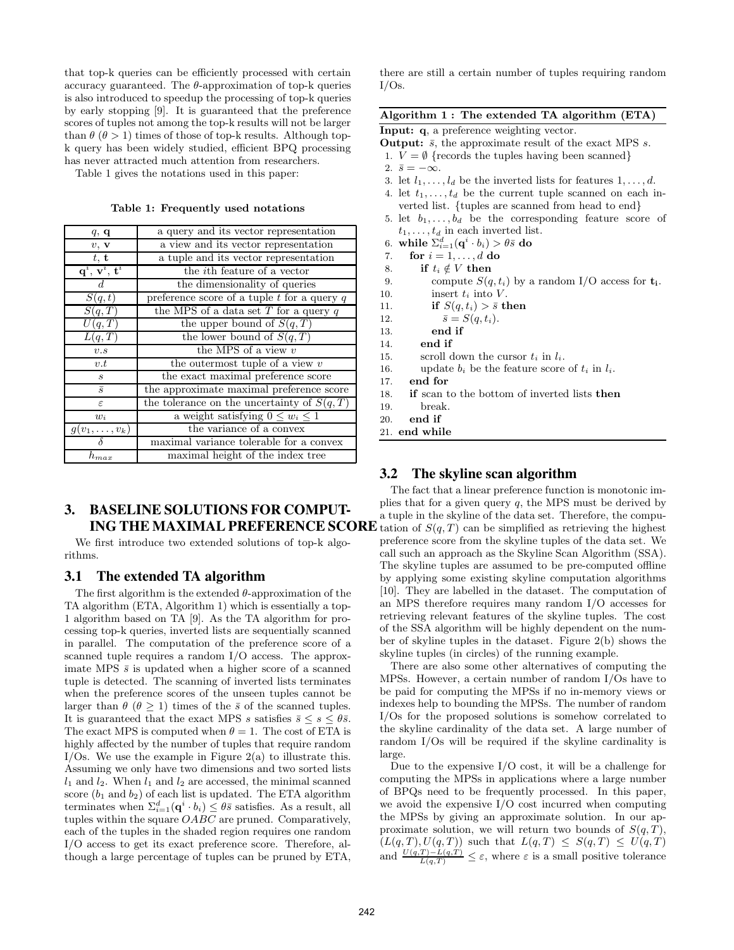that top-k queries can be efficiently processed with certain accuracy guaranteed. The  $\theta$ -approximation of top-k queries is also introduced to speedup the processing of top-k queries by early stopping [9]. It is guaranteed that the preference scores of tuples not among the top-k results will not be larger than  $\theta$  ( $\theta > 1$ ) times of those of top-k results. Although topk query has been widely studied, efficient BPQ processing has never attracted much attention from researchers.

Table 1 gives the notations used in this paper:

Table 1: Frequently used notations

| q, q                                               | a query and its vector representation           |  |  |
|----------------------------------------------------|-------------------------------------------------|--|--|
| v, v                                               | a view and its vector representation            |  |  |
| t, t                                               | a tuple and its vector representation           |  |  |
| $\mathbf{q}^{i},\,\mathbf{v}^{i},\,\mathbf{t}^{i}$ | the <i>i</i> th feature of a vector             |  |  |
| $d_{\cdot}$                                        | the dimensionality of queries                   |  |  |
| $\overline{S(q,t)}$                                | preference score of a tuple $t$ for a query $q$ |  |  |
| S(q,T)                                             | the MPS of a data set $T$ for a query $q$       |  |  |
| U(q,T)                                             | the upper bound of $S(q,T)$                     |  |  |
| L(q,T)                                             | the lower bound of $S(q,T)$                     |  |  |
| v.s                                                | the MPS of a view $v$                           |  |  |
| v.t                                                | the outermost tuple of a view $v$               |  |  |
| $\boldsymbol{s}$                                   | the exact maximal preference score              |  |  |
| $\overline{s}$                                     | the approximate maximal preference score        |  |  |
| ε                                                  | the tolerance on the uncertainty of $S(q,T)$    |  |  |
| $w_i$                                              | a weight satisfying $0 \leq w_i \leq 1$         |  |  |
| $g(v_1,\ldots,v_k)$                                | the variance of a convex                        |  |  |
|                                                    | maximal variance tolerable for a convex         |  |  |
| $h_{max}$                                          | maximal height of the index tree                |  |  |

# **3. BASELINE SOLUTIONS FOR COMPUT-**

We first introduce two extended solutions of top-k algorithms.

#### **3.1 The extended TA algorithm**

The first algorithm is the extended  $\theta$ -approximation of the TA algorithm (ETA, Algorithm 1) which is essentially a top-1 algorithm based on TA [9]. As the TA algorithm for processing top-k queries, inverted lists are sequentially scanned in parallel. The computation of the preference score of a scanned tuple requires a random I/O access. The approximate MPS  $\bar{s}$  is updated when a higher score of a scanned tuple is detected. The scanning of inverted lists terminates when the preference scores of the unseen tuples cannot be larger than  $\theta$  ( $\theta \ge 1$ ) times of the  $\bar{s}$  of the scanned tuples. It is guaranteed that the exact MPS s satisfies  $\bar{s} \leq s \leq \theta \bar{s}$ . The exact MPS is computed when  $\theta = 1$ . The cost of ETA is highly affected by the number of tuples that require random I/Os. We use the example in Figure  $2(a)$  to illustrate this. Assuming we only have two dimensions and two sorted lists  $l_1$  and  $l_2$ . When  $l_1$  and  $l_2$  are accessed, the minimal scanned score  $(b_1 \text{ and } b_2)$  of each list is updated. The ETA algorithm terminates when  $\Sigma_{i=1}^d(\mathbf{q}^i \cdot b_i) \leq \theta \bar{s}$  satisfies. As a result, all tuples within the square  $OABC$  are pruned. Comparatively, each of the tuples in the shaded region requires one random I/O access to get its exact preference score. Therefore, although a large percentage of tuples can be pruned by ETA,

there are still a certain number of tuples requiring random  $I/Os.$ 

#### Algorithm 1 : The extended TA algorithm (ETA)

Input: q, a preference weighting vector.

**Output:**  $\bar{s}$ , the approximate result of the exact MPS s.

- 1.  $V = \emptyset$  {records the tuples having been scanned}
- 2.  $\bar{s} = -\infty$ .
- 3. let  $l_1, \ldots, l_d$  be the inverted lists for features  $1, \ldots, d$ .
- 4. let  $t_1, \ldots, t_d$  be the current tuple scanned on each inverted list. {tuples are scanned from head to end}
- 5. let  $b_1, \ldots, b_d$  be the corresponding feature score of  $t_1, \ldots, t_d$  in each inverted list.
- 6. while  $\Sigma_{i=1}^d(\mathbf{q}^i\cdot b_i) > \theta\bar{s}$  do
- 7. for  $i = 1, \ldots, d$  do
- 8. if  $t_i \notin V$  then
- 9. compute  $S(q, t_i)$  by a random I/O access for  $t_i$ .
- 10. insert  $t_i$  into  $V$ .
- 11. if  $S(q, t_i) > \bar{s}$  then
- 12.  $\bar{s} = S(q, t_i).$
- 13. end if
- 14. end if
- 15. scroll down the cursor  $t_i$  in  $l_i$ .
- 16. update  $b_i$  be the feature score of  $t_i$  in  $l_i$ .
- 17. end for
- 18. if scan to the bottom of inverted lists then
- 19. break.
- 20. end if
- 21. end while

#### **3.2 The skyline scan algorithm**

**ING THE MAXIMAL PREFERENCE SCORE** tation of  $S(q,T)$  can be simplified as retrieving the highest The fact that a linear preference function is monotonic implies that for a given query  $q$ , the MPS must be derived by a tuple in the skyline of the data set. Therefore, the compupreference score from the skyline tuples of the data set. We call such an approach as the Skyline Scan Algorithm (SSA). The skyline tuples are assumed to be pre-computed offline by applying some existing skyline computation algorithms [10]. They are labelled in the dataset. The computation of an MPS therefore requires many random I/O accesses for retrieving relevant features of the skyline tuples. The cost of the SSA algorithm will be highly dependent on the number of skyline tuples in the dataset. Figure 2(b) shows the skyline tuples (in circles) of the running example.

> There are also some other alternatives of computing the MPSs. However, a certain number of random I/Os have to be paid for computing the MPSs if no in-memory views or indexes help to bounding the MPSs. The number of random I/Os for the proposed solutions is somehow correlated to the skyline cardinality of the data set. A large number of random I/Os will be required if the skyline cardinality is large.

> Due to the expensive I/O cost, it will be a challenge for computing the MPSs in applications where a large number of BPQs need to be frequently processed. In this paper, we avoid the expensive I/O cost incurred when computing the MPSs by giving an approximate solution. In our approximate solution, we will return two bounds of  $S(q,T)$ ,  $(L(q,T), U(q,T))$  such that  $L(q,T) \leq S(q,T) \leq U(q,T)$ and  $\frac{U(q,T)-L(q,T)}{L(q,T)} \leq \varepsilon$ , where  $\varepsilon$  is a small positive tolerance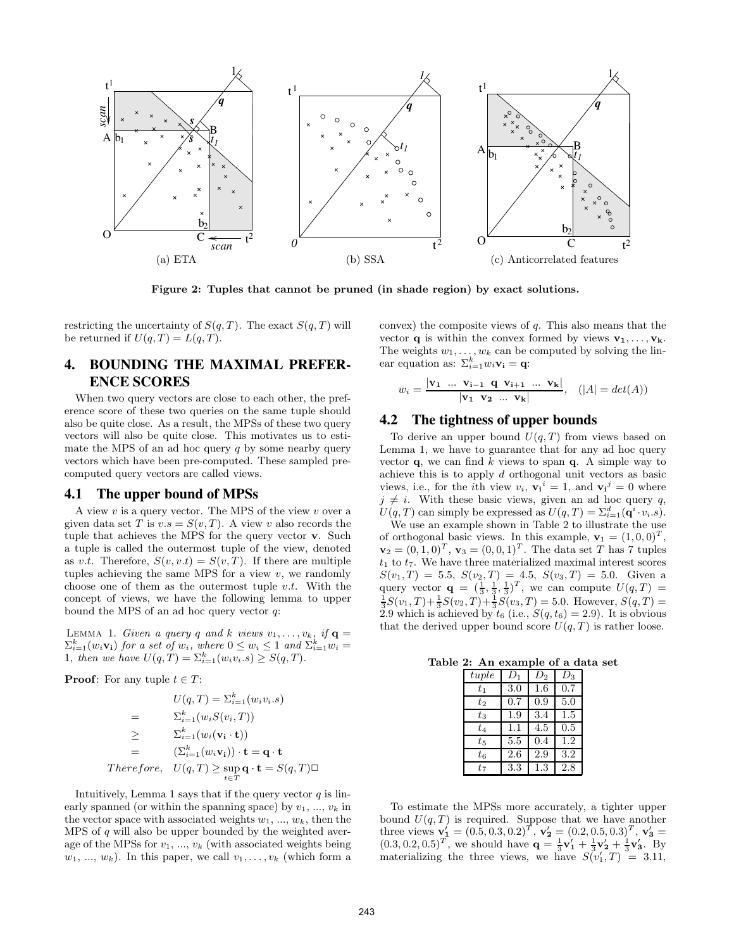

Figure 2: Tuples that cannot be pruned (in shade region) by exact solutions.

restricting the uncertainty of  $S(q,T)$ . The exact  $S(q,T)$  will be returned if  $U(q,T) = L(q,T)$ .

#### **4. BOUNDING THE MAXIMAL PREFER-ENCE SCORES**

When two query vectors are close to each other, the preference score of these two queries on the same tuple should also be quite close. As a result, the MPSs of these two query vectors will also be quite close. This motivates us to estimate the MPS of an ad hoc query  $q$  by some nearby query vectors which have been pre-computed. These sampled precomputed query vectors are called views.

#### **4.1 The upper bound of MPSs**

A view  $v$  is a query vector. The MPS of the view  $v$  over a given data set T is  $v.s = S(v,T)$ . A view v also records the tuple that achieves the MPS for the query vector v. Such a tuple is called the outermost tuple of the view, denoted as v.t. Therefore,  $S(v, v.t) = S(v, T)$ . If there are multiple tuples achieving the same MPS for a view  $v$ , we randomly choose one of them as the outermost tuple  $v.t.$  With the concept of views, we have the following lemma to upper bound the MPS of an ad hoc query vector  $q$ :

LEMMA 1. Given a query q and k views  $v_1, \ldots, v_k$ , if  $\mathbf{q} =$  $\sum_{i=1}^k (w_i \mathbf{v_i})$  for a set of  $w_i$ , where  $0 \leq w_i \leq 1$  and  $\sum_{i=1}^k w_i =$ 1, then we have  $U(q, T) = \sum_{i=1}^{k} (w_i v_i . s) \ge S(q, T)$ .

**Proof:** For any tuple  $t \in T$ :

$$
U(q, T) = \sum_{i=1}^{k} (w_i v_i . s)
$$
  
= 
$$
\sum_{i=1}^{k} (w_i S(v_i, T))
$$
  

$$
\geq \sum_{i=1}^{k} (w_i (\mathbf{v}_i \cdot \mathbf{t}))
$$
  
= 
$$
(\sum_{i=1}^{k} (w_i \mathbf{v}_i)) \cdot \mathbf{t} = \mathbf{q} \cdot \mathbf{t}
$$
  
Therefore, 
$$
U(q, T) \geq \sup_{t \in T} \mathbf{q} \cdot \mathbf{t} = S(q, T) \square
$$

Intuitively, Lemma 1 says that if the query vector  $q$  is linearly spanned (or within the spanning space) by  $v_1, ..., v_k$  in the vector space with associated weights  $w_1, ..., w_k$ , then the MPS of  $q$  will also be upper bounded by the weighted average of the MPSs for  $v_1, ..., v_k$  (with associated weights being  $w_1, ..., w_k$ ). In this paper, we call  $v_1, ..., v_k$  (which form a

convex) the composite views of  $q$ . This also means that the vector **q** is within the convex formed by views  $\mathbf{v}_1, \ldots, \mathbf{v}_k$ . The weights  $w_1, \ldots, w_k$  can be computed by solving the linear equation as:  $\Sigma_{i=1}^k w_i \mathbf{v_i} = \mathbf{q}$ :

$$
w_i = \frac{|\mathbf{v}_1 \ \dots \ \mathbf{v}_{i-1} \ \mathbf{q} \ \mathbf{v}_{i+1} \ \dots \ \mathbf{v}_{k}|}{|\mathbf{v}_1 \ \mathbf{v}_2 \ \dots \ \mathbf{v}_{k}|}, \quad (|A| = det(A))
$$

#### **4.2 The tightness of upper bounds**

To derive an upper bound  $U(q, T)$  from views based on Lemma 1, we have to guarantee that for any ad hoc query vector  $q$ , we can find k views to span  $q$ . A simple way to achieve this is to apply d orthogonal unit vectors as basic views, i.e., for the *i*th view  $v_i$ ,  $v_i^i = 1$ , and  $v_i^j = 0$  where  $j \neq i$ . With these basic views, given an ad hoc query q,  $U(q,T)$  can simply be expressed as  $U(q,T) = \sum_{i=1}^{d} (\mathbf{q}^i \cdot v_i.s).$ 

We use an example shown in Table 2 to illustrate the use of orthogonal basic views. In this example,  $\mathbf{v}_1 = (1, 0, 0)^T$ ,  $\mathbf{v}_2 = (0, 1, 0)^T$ ,  $\mathbf{v}_3 = (0, 0, 1)^T$ . The data set T has 7 tuples  $t_1$  to  $t_7$ . We have three materialized maximal interest scores  $S(v_1,T) = 5.5, S(v_2,T) = 4.5, S(v_3,T) = 5.0.$  Given a query vector  $\mathbf{q} = (\frac{1}{3}, \frac{1}{3}, \frac{1}{3})^T$ , we can compute  $U(q, T) = \frac{1}{3}S(v_1, T) + \frac{1}{3}S(v_2, T) + \frac{1}{3}S(v_3, T) = 5.0$ . However,  $S(q, T) =$ 2.9 which is achieved by  $t_6$  (i.e.,  $S(q, t_6) = 2.9$ ). It is obvious that the derived upper bound score  $U(q, T)$  is rather loose.

Table 2: An example of a data set

| tuple   | $D_1$ | $D_{2}$ | $D_3$ |
|---------|-------|---------|-------|
| $t_{1}$ | 3.0   | $1.6\,$ | 0.7   |
| $t_2$   | 0.7   | 0.9     | 5.0   |
| $t_3$   | 1.9   | 3.4     | 1.5   |
| $t_4$   | 1.1   | 4.5     | 0.5   |
| $t_{5}$ | 5.5   | 0.4     | 1.2   |
| $t_6$   | 2.6   | 2.9     | 3.2   |
| $t_7$   | 3.3   | $1.3\,$ | 2.8   |

To estimate the MPSs more accurately, a tighter upper bound  $U(q, T)$  is required. Suppose that we have another three views  $\mathbf{v}_1' = (0.5, 0.3, 0.2)^T$ ,  $\mathbf{v}_2' = (0.2, 0.5, 0.3)^T$ ,  $\mathbf{v}_3' =$  $(0.3, 0.2, 0.5)^T$ , we should have  $\mathbf{q} = \frac{1}{3}\mathbf{v}_1' + \frac{1}{3}\mathbf{v}_2' + \frac{1}{3}\mathbf{v}_3'$ . By materializing the three views, we have  $S(v_1', T) = 3.11$ ,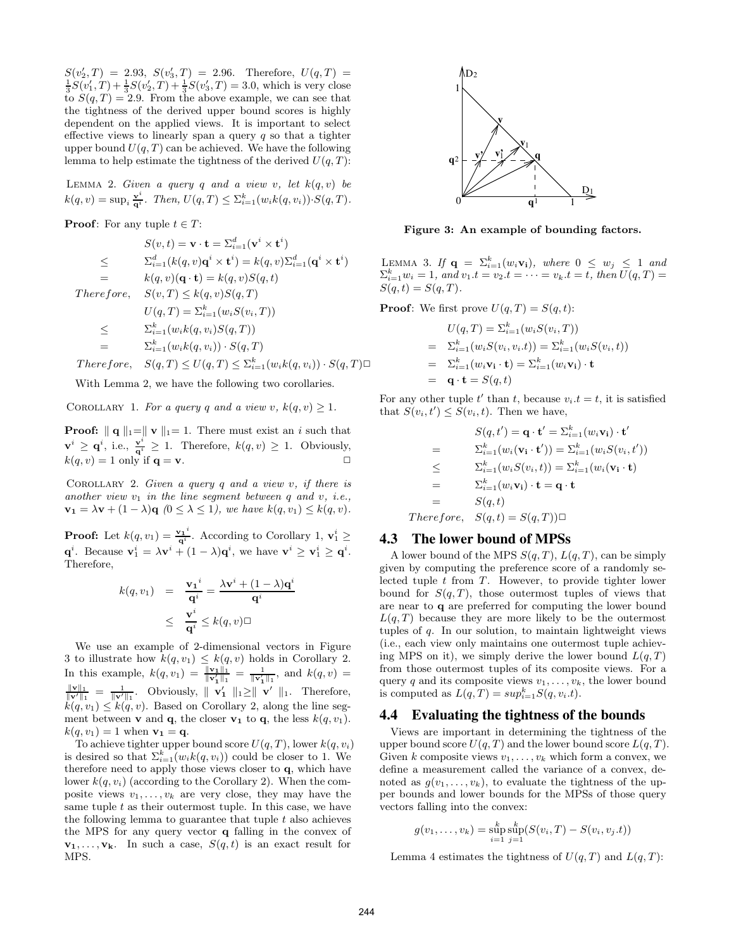$S(v_2', T) = 2.93, S(v_3', T) = 2.96.$  Therefore,  $U(q, T) =$  $\frac{1}{3}S(v_1',T) + \frac{1}{3}S(v_2',T) + \frac{1}{3}S(v_3',T) = 3.0$ , which is very close to  $S(q,T) = 2.9$ . From the above example, we can see that the tightness of the derived upper bound scores is highly dependent on the applied views. It is important to select effective views to linearly span a query  $q$  so that a tighter upper bound  $U(q, T)$  can be achieved. We have the following lemma to help estimate the tightness of the derived  $U(q, T)$ :

LEMMA 2. Given a query q and a view v, let  $k(q, v)$  be  $k(q, v) = \sup_i \frac{\mathbf{v}^i}{\mathbf{q}^i}$ . Then,  $U(q, T) \leq \sum_{i=1}^k (w_i k(q, v_i)) \cdot S(q, T)$ .

**Proof:** For any tuple  $t \in T$ :

$$
S(v,t) = \mathbf{v} \cdot \mathbf{t} = \sum_{i=1}^{d} (\mathbf{v}^{i} \times \mathbf{t}^{i})
$$
  
\n
$$
\leq \qquad \sum_{i=1}^{d} (k(q, v) \mathbf{q}^{i} \times \mathbf{t}^{i}) = k(q, v) \sum_{i=1}^{d} (\mathbf{q}^{i} \times \mathbf{t}^{i})
$$
  
\n
$$
= k(q, v) (\mathbf{q} \cdot \mathbf{t}) = k(q, v) S(q, t)
$$
  
\nTherefore,  $S(v, T) \leq k(q, v) S(q, T)$   
\n $U(q, T) = \sum_{i=1}^{k} (w_{i} S(v_{i}, T))$   
\n
$$
\leq \qquad \sum_{i=1}^{k} (w_{i} k(q, v_{i}) S(q, T))
$$
  
\n
$$
= \qquad \sum_{i=1}^{k} (w_{i} k(q, v_{i})) \cdot S(q, T)
$$
  
\nTherefore,  $S(q, T) \leq U(q, T) \leq \sum_{i=1}^{k} (w_{i} k(q, v_{i})) \cdot S(q, T) \square$ 

With Lemma 2, we have the following two corollaries.

COROLLARY 1. For a query q and a view v,  $k(q, v) \geq 1$ .

**Proof:**  $\| \mathbf{q} \|_1 = \| \mathbf{v} \|_1 = 1$ . There must exist an i such that  $\mathbf{v}^i \geq \mathbf{q}^i$ , i.e.,  $\frac{\mathbf{v}^i}{\mathbf{q}^i} \geq 1$ . Therefore,  $k(q, v) \geq 1$ . Obviously,  $k(q, v) = 1$  only if  $\mathbf{q} = \mathbf{v}$ .

COROLLARY 2. Given a query q and a view  $v$ , if there is another view  $v_1$  in the line segment between q and v, i.e.,  $\mathbf{v_1} = \lambda \mathbf{v} + (1 - \lambda) \mathbf{q}$  ( $0 \leq \lambda \leq 1$ ), we have  $k(q, v_1) \leq k(q, v)$ .

**Proof:** Let  $k(q, v_1) = \frac{{\bf v_1}^i}{q_i^i}$  $\frac{\partial \mathbf{q}^i}{\partial \mathbf{q}^i}$ . According to Corollary 1,  $\mathbf{v}_1^i \geq$  $\mathbf{q}^i$ . Because  $\mathbf{v}_1^i = \lambda \mathbf{v}^i + (1 - \lambda)\mathbf{q}^i$ , we have  $\mathbf{v}^i \ge \mathbf{v}_1^i \ge \mathbf{q}^i$ . Therefore,

$$
k(q, v_1) = \frac{\mathbf{v_1}^i}{\mathbf{q}^i} = \frac{\lambda \mathbf{v}^i + (1 - \lambda)\mathbf{q}^i}{\mathbf{q}^i}
$$

$$
\leq \frac{\mathbf{v}^i}{\mathbf{q}^i} \leq k(q, v) \Box
$$

We use an example of 2-dimensional vectors in Figure 3 to illustrate how  $k(q, v_1) \leq k(q, v)$  holds in Corollary 2. In this example,  $k(q, v_1) = \frac{\|\mathbf{v}_1\|_1}{\|\mathbf{v}_1'\|_1} = \frac{1}{\|\mathbf{v}_1'\|_1}$ , and  $k(q, v) =$  $\frac{\|\mathbf{v}\|_1}{\|\mathbf{v}'\|_1} = \frac{1}{\|\mathbf{v}'\|_1}$ . Obviously,  $\|\mathbf{v}'_1\|_1 \ge \|\mathbf{v}'\|_1$ . Therefore,  $k(q, v_1) \leq k(q, v)$ . Based on Corollary 2, along the line segment between **v** and **q**, the closer **v**<sub>1</sub> to **q**, the less  $k(q, v_1)$ .  $k(q, v_1) = 1$  when  $v_1 = q$ .

To achieve tighter upper bound score  $U(q, T)$ , lower  $k(q, v_i)$ is desired so that  $\sum_{i=1}^{k} (w_i k(q, v_i))$  could be closer to 1. We therefore need to apply those views closer to q, which have lower  $k(q, v_i)$  (according to the Corollary 2). When the composite views  $v_1, \ldots, v_k$  are very close, they may have the same tuple  $t$  as their outermost tuple. In this case, we have the following lemma to guarantee that tuple  $t$  also achieves the MPS for any query vector q falling in the convex of  $\mathbf{v_1}, \ldots, \mathbf{v_k}$ . In such a case,  $S(q, t)$  is an exact result for MPS.



Figure 3: An example of bounding factors.

LEMMA 3. If  $\mathbf{q} = \sum_{i=1}^{k} (w_i \mathbf{v_i})$ , where  $0 \leq w_j \leq 1$  and  $\sum_{i=1}^{k} w_i = 1$ , and  $v_1.t = v_2.t = \cdots = v_k.t = t$ , then  $U(q, T) =$  $S(q, t) = S(q, T)$ .

**Proof:** We first prove  $U(q,T) = S(q,t)$ :

$$
U(q,T) = \sum_{i=1}^{k} (w_i S(v_i, T))
$$
  
=  $\sum_{i=1}^{k} (w_i S(v_i, v_i, t)) = \sum_{i=1}^{k} (w_i S(v_i, t))$   
=  $\sum_{i=1}^{k} (w_i \mathbf{v}_i \cdot \mathbf{t}) = \sum_{i=1}^{k} (w_i \mathbf{v}_i) \cdot \mathbf{t}$   
=  $\mathbf{q} \cdot \mathbf{t} = S(q, t)$ 

For any other tuple  $t'$  than  $t$ , because  $v_i \cdot t = t$ , it is satisfied that  $S(v_i, t') \leq S(v_i, t)$ . Then we have,

$$
S(q, t') = \mathbf{q} \cdot \mathbf{t}' = \sum_{i=1}^{k} (w_i \mathbf{v_i}) \cdot \mathbf{t}'
$$
  
\n
$$
= \sum_{i=1}^{k} (w_i(\mathbf{v_i} \cdot \mathbf{t}')) = \sum_{i=1}^{k} (w_i S(v_i, t'))
$$
  
\n
$$
\leq \sum_{i=1}^{k} (w_i S(v_i, t)) = \sum_{i=1}^{k} (w_i(\mathbf{v_i} \cdot \mathbf{t}))
$$
  
\n
$$
= \sum_{i=1}^{k} (w_i \mathbf{v_i}) \cdot \mathbf{t} = \mathbf{q} \cdot \mathbf{t}
$$
  
\n
$$
= S(q, t)
$$
  
\nTherefore,  $S(q, t) = S(q, T) \square$ 

#### **4.3 The lower bound of MPSs**

A lower bound of the MPS  $S(q, T)$ ,  $L(q, T)$ , can be simply given by computing the preference score of a randomly selected tuple  $t$  from  $T$ . However, to provide tighter lower bound for  $S(q,T)$ , those outermost tuples of views that are near to q are preferred for computing the lower bound  $L(q, T)$  because they are more likely to be the outermost tuples of q. In our solution, to maintain lightweight views (i.e., each view only maintains one outermost tuple achieving MPS on it), we simply derive the lower bound  $L(q, T)$ from those outermost tuples of its composite views. For a query q and its composite views  $v_1, \ldots, v_k$ , the lower bound is computed as  $L(q,T) = sup_{i=1}^k S(q,v_i.t)$ .

#### **4.4 Evaluating the tightness of the bounds**

Views are important in determining the tightness of the upper bound score  $U(q, T)$  and the lower bound score  $L(q, T)$ . Given k composite views  $v_1, \ldots, v_k$  which form a convex, we define a measurement called the variance of a convex, denoted as  $q(v_1, \ldots, v_k)$ , to evaluate the tightness of the upper bounds and lower bounds for the MPSs of those query vectors falling into the convex:

$$
g(v_1,...,v_k) = \sup_{i=1}^k \sup_{j=1}^k (S(v_i,T) - S(v_i,v_j.t))
$$

Lemma 4 estimates the tightness of  $U(q, T)$  and  $L(q, T)$ :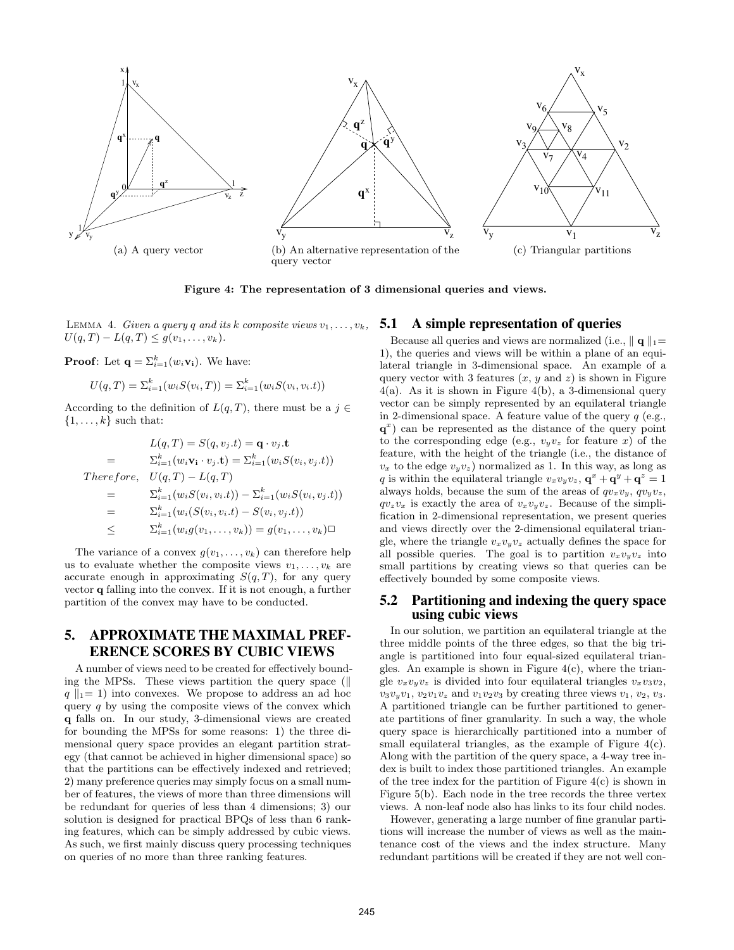

Figure 4: The representation of 3 dimensional queries and views.

LEMMA 4. Given a query q and its k composite views  $v_1, \ldots, v_k$ , **5.1** A simple representation of queries  $U(q, T) - L(q, T) \leq g(v_1, \ldots, v_k).$ 

**Proof**: Let  $\mathbf{q} = \sum_{i=1}^{k} (w_i \mathbf{v_i})$ . We have:

$$
U(q, T) = \sum_{i=1}^{k} (w_i S(v_i, T)) = \sum_{i=1}^{k} (w_i S(v_i, v_i.t))
$$

According to the definition of  $L(q,T)$ , there must be a  $j \in$  $\{1, \ldots, k\}$  such that:

$$
L(q, T) = S(q, v_j, t) = \mathbf{q} \cdot v_j, \mathbf{t}
$$
  
=  $\sum_{i=1}^{k} (w_i \mathbf{v}_i \cdot v_j, \mathbf{t}) = \sum_{i=1}^{k} (w_i S(v_i, v_j, t))$   
Therefore,  $U(q, T) - L(q, T)$   
=  $\sum_{i=1}^{k} (w_i S(v_i, v_i, t)) - \sum_{i=1}^{k} (w_i S(v_i, v_j, t))$   
=  $\sum_{i=1}^{k} (w_i (S(v_i, v_i, t) - S(v_i, v_j, t))$   
 $\leq \sum_{i=1}^{k} (w_i g(v_1, \dots, v_k)) = g(v_1, \dots, v_k) \square$ 

The variance of a convex  $g(v_1, \ldots, v_k)$  can therefore help us to evaluate whether the composite views  $v_1, \ldots, v_k$  are accurate enough in approximating  $S(q,T)$ , for any query vector q falling into the convex. If it is not enough, a further partition of the convex may have to be conducted.

#### **5. APPROXIMATE THE MAXIMAL PREF-ERENCE SCORES BY CUBIC VIEWS**

A number of views need to be created for effectively bounding the MPSs. These views partition the query space  $(\parallel$  $q \|_{1}= 1$ ) into convexes. We propose to address an ad hoc query  $q$  by using the composite views of the convex which q falls on. In our study, 3-dimensional views are created for bounding the MPSs for some reasons: 1) the three dimensional query space provides an elegant partition strategy (that cannot be achieved in higher dimensional space) so that the partitions can be effectively indexed and retrieved; 2) many preference queries may simply focus on a small number of features, the views of more than three dimensions will be redundant for queries of less than 4 dimensions; 3) our solution is designed for practical BPQs of less than 6 ranking features, which can be simply addressed by cubic views. As such, we first mainly discuss query processing techniques on queries of no more than three ranking features.

Because all queries and views are normalized (i.e.,  $\|\mathbf{q}\|_1=$ 1), the queries and views will be within a plane of an equilateral triangle in 3-dimensional space. An example of a query vector with 3 features  $(x, y \text{ and } z)$  is shown in Figure 4(a). As it is shown in Figure 4(b), a 3-dimensional query vector can be simply represented by an equilateral triangle in 2-dimensional space. A feature value of the query  $q$  (e.g., q x ) can be represented as the distance of the query point to the corresponding edge (e.g.,  $v_yv_z$  for feature x) of the feature, with the height of the triangle (i.e., the distance of  $v_x$  to the edge  $v_yv_z$ ) normalized as 1. In this way, as long as q is within the equilateral triangle  $v_xv_yv_z$ ,  $\mathbf{q}^x + \mathbf{q}^y + \mathbf{q}^z = 1$ always holds, because the sum of the areas of  $qv_xv_y$ ,  $qv_yv_z$ ,  $qv_zv_x$  is exactly the area of  $v_xv_yv_z$ . Because of the simplification in 2-dimensional representation, we present queries and views directly over the 2-dimensional equilateral triangle, where the triangle  $v_xv_yv_z$  actually defines the space for all possible queries. The goal is to partition  $v_xv_yv_z$  into small partitions by creating views so that queries can be effectively bounded by some composite views.

#### **5.2 Partitioning and indexing the query space using cubic views**

In our solution, we partition an equilateral triangle at the three middle points of the three edges, so that the big triangle is partitioned into four equal-sized equilateral triangles. An example is shown in Figure  $4(c)$ , where the triangle  $v_xv_yv_z$  is divided into four equilateral triangles  $v_xv_3v_2$ ,  $v_3v_yv_1, v_2v_1v_z$  and  $v_1v_2v_3$  by creating three views  $v_1, v_2, v_3$ . A partitioned triangle can be further partitioned to generate partitions of finer granularity. In such a way, the whole query space is hierarchically partitioned into a number of small equilateral triangles, as the example of Figure 4(c). Along with the partition of the query space, a 4-way tree index is built to index those partitioned triangles. An example of the tree index for the partition of Figure 4(c) is shown in Figure 5(b). Each node in the tree records the three vertex views. A non-leaf node also has links to its four child nodes.

However, generating a large number of fine granular partitions will increase the number of views as well as the maintenance cost of the views and the index structure. Many redundant partitions will be created if they are not well con-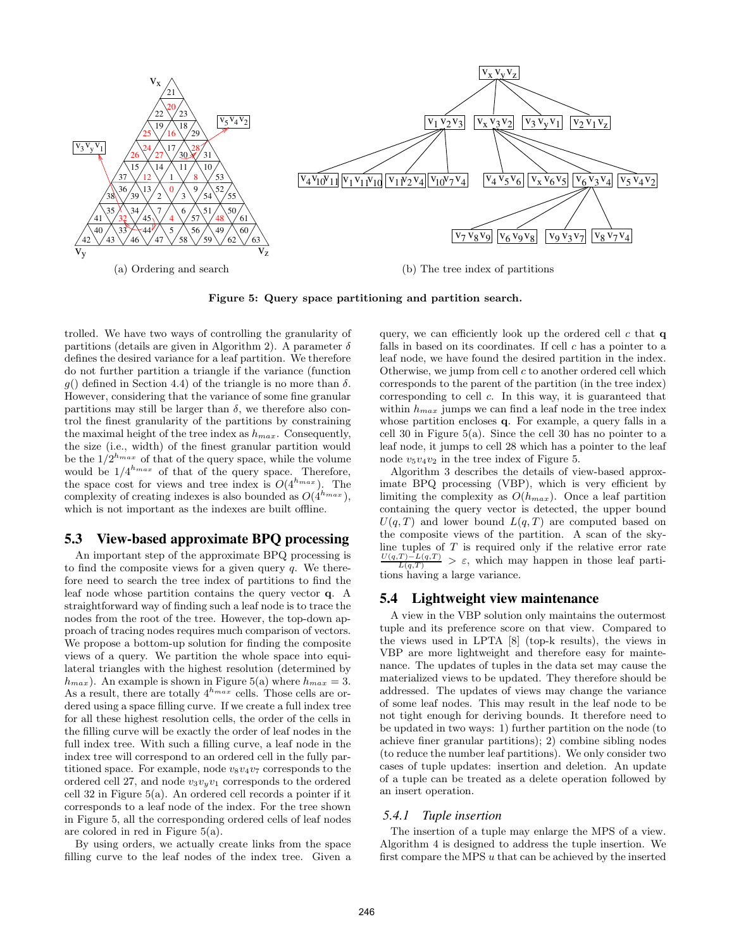

Figure 5: Query space partitioning and partition search.

trolled. We have two ways of controlling the granularity of partitions (details are given in Algorithm 2). A parameter  $\delta$ defines the desired variance for a leaf partition. We therefore do not further partition a triangle if the variance (function g() defined in Section 4.4) of the triangle is no more than  $\delta$ . However, considering that the variance of some fine granular partitions may still be larger than  $\delta$ , we therefore also control the finest granularity of the partitions by constraining the maximal height of the tree index as  $h_{max}$ . Consequently, the size (i.e., width) of the finest granular partition would be the  $1/2^{h_{max}}$  of that of the query space, while the volume would be  $1/4^{h_{max}}$  of that of the query space. Therefore, the space cost for views and tree index is  $O(4^{h_{max}})$ . The complexity of creating indexes is also bounded as  $O(4^{h_{max}})$ , which is not important as the indexes are built offline.

#### **5.3 View-based approximate BPQ processing**

An important step of the approximate BPQ processing is to find the composite views for a given query  $q$ . We therefore need to search the tree index of partitions to find the leaf node whose partition contains the query vector q. A straightforward way of finding such a leaf node is to trace the nodes from the root of the tree. However, the top-down approach of tracing nodes requires much comparison of vectors. We propose a bottom-up solution for finding the composite views of a query. We partition the whole space into equilateral triangles with the highest resolution (determined by  $h_{max}$ ). An example is shown in Figure 5(a) where  $h_{max} = 3$ . As a result, there are totally  $4^{h_{max}}$  cells. Those cells are ordered using a space filling curve. If we create a full index tree for all these highest resolution cells, the order of the cells in the filling curve will be exactly the order of leaf nodes in the full index tree. With such a filling curve, a leaf node in the index tree will correspond to an ordered cell in the fully partitioned space. For example, node  $v_8v_4v_7$  corresponds to the ordered cell 27, and node  $v_3v_yv_1$  corresponds to the ordered cell 32 in Figure 5(a). An ordered cell records a pointer if it corresponds to a leaf node of the index. For the tree shown in Figure 5, all the corresponding ordered cells of leaf nodes are colored in red in Figure 5(a).

By using orders, we actually create links from the space filling curve to the leaf nodes of the index tree. Given a query, we can efficiently look up the ordered cell  $c$  that  $q$ falls in based on its coordinates. If cell  $c$  has a pointer to a leaf node, we have found the desired partition in the index. Otherwise, we jump from cell  $c$  to another ordered cell which corresponds to the parent of the partition (in the tree index) corresponding to cell c. In this way, it is guaranteed that within  $h_{max}$  jumps we can find a leaf node in the tree index whose partition encloses q. For example, a query falls in a cell 30 in Figure 5(a). Since the cell 30 has no pointer to a leaf node, it jumps to cell 28 which has a pointer to the leaf node  $v_5v_4v_2$  in the tree index of Figure 5.

Algorithm 3 describes the details of view-based approximate BPQ processing (VBP), which is very efficient by limiting the complexity as  $O(h_{max})$ . Once a leaf partition containing the query vector is detected, the upper bound  $U(q,T)$  and lower bound  $L(q,T)$  are computed based on the composite views of the partition. A scan of the skyline tuples of  $T$  is required only if the relative error rate  $\frac{U(q,T)-L(q,T)}{L(q,T)} > \varepsilon$ , which may happen in those leaf partitions having a large variance.

#### **5.4 Lightweight view maintenance**

A view in the VBP solution only maintains the outermost tuple and its preference score on that view. Compared to the views used in LPTA [8] (top-k results), the views in VBP are more lightweight and therefore easy for maintenance. The updates of tuples in the data set may cause the materialized views to be updated. They therefore should be addressed. The updates of views may change the variance of some leaf nodes. This may result in the leaf node to be not tight enough for deriving bounds. It therefore need to be updated in two ways: 1) further partition on the node (to achieve finer granular partitions); 2) combine sibling nodes (to reduce the number leaf partitions). We only consider two cases of tuple updates: insertion and deletion. An update of a tuple can be treated as a delete operation followed by an insert operation.

#### *5.4.1 Tuple insertion*

The insertion of a tuple may enlarge the MPS of a view. Algorithm 4 is designed to address the tuple insertion. We first compare the MPS u that can be achieved by the inserted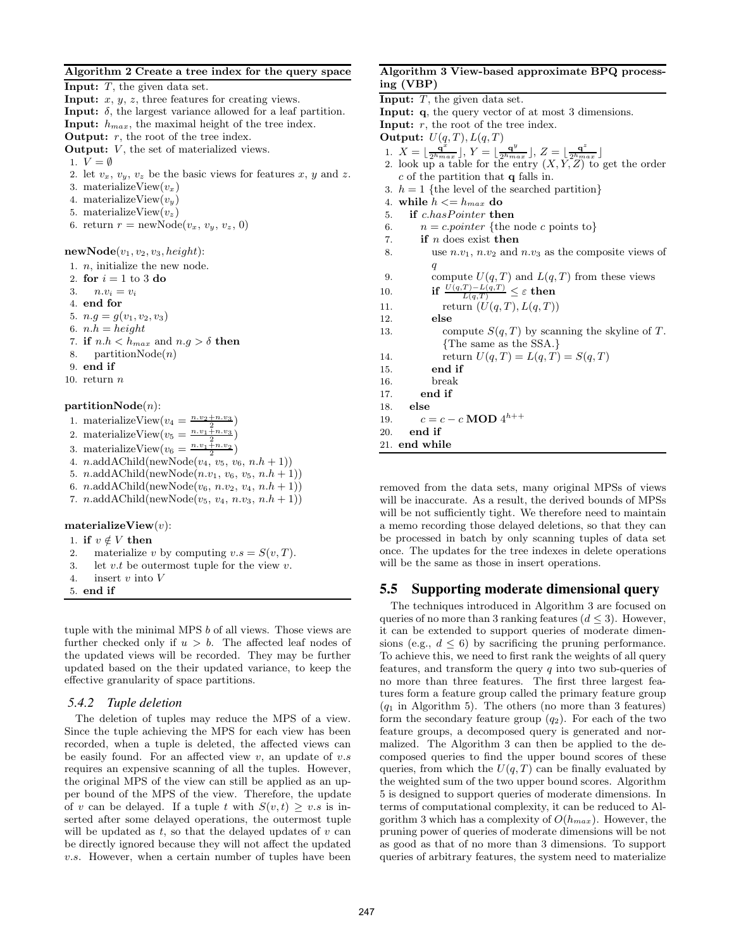#### Algorithm 2 Create a tree index for the query space

**Input:**  $T$ , the given data set. **Input:**  $x, y, z$ , three features for creating views. **Input:**  $\delta$ , the largest variance allowed for a leaf partition. Input:  $h_{max}$ , the maximal height of the tree index. **Output:**  $r$ , the root of the tree index. **Output:**  $V$ , the set of materialized views. 1.  $V = \emptyset$ 2. let  $v_x, v_y, v_z$  be the basic views for features x, y and z. 3. materializeView $(v_x)$ 4. materializeView $(v_y)$ 5. materializeView $(v_z)$ 6. return  $r = \text{newNode}(v_x, v_y, v_z, 0)$  $newNode(v_1, v_2, v_3, height):$ 1. n, initialize the new node. 2. for  $i = 1$  to 3 do 3.  $n.v_i = v_i$ 4. end for 5.  $n.g = g(v_1, v_2, v_3)$ 6.  $n.h = height$ 7. if  $n.h < h_{max}$  and  $n.g > \delta$  then 8. partition $Node(n)$ 9. end if 10. return  $n$  $partitionNode(n)$ : 1. materializeView $(v_4 = \frac{n.v_2+n.v_3}{2})$ 2. materializeView $(v_5 = \frac{n \cdot v_1 + n \cdot v_3}{2})$ 

- 3. materializeView $(v_6 = \frac{n.v_1+n.v_2}{2})$
- 4. n.addAChild(newNode( $v_4$ ,  $v_5$ ,  $v_6$ ,  $n.h+1$ ))
- 5. n.addAChild(newNode $(n.v_1, v_6, v_5, n.h+1)$ )
- 6. *n.*addAChild(newNode( $v_6$ , *n.v*<sub>2</sub>,  $v_4$ , *n.h* + 1))
- 7.  $n.\text{add }AChild(newNode(v_5, v_4, n.v_3, n.h+1))$

materializeView $(v)$ :

- 1. if  $v \notin V$  then
- 2. materialize v by computing  $v.s = S(v,T)$ .
- 3. let  $v.t$  be outermost tuple for the view  $v$ .
- 4. insert v into V
- 5. end if

tuple with the minimal MPS b of all views. Those views are further checked only if  $u > b$ . The affected leaf nodes of the updated views will be recorded. They may be further updated based on the their updated variance, to keep the effective granularity of space partitions.

#### *5.4.2 Tuple deletion*

The deletion of tuples may reduce the MPS of a view. Since the tuple achieving the MPS for each view has been recorded, when a tuple is deleted, the affected views can be easily found. For an affected view  $v$ , an update of  $v.s$ requires an expensive scanning of all the tuples. However, the original MPS of the view can still be applied as an upper bound of the MPS of the view. Therefore, the update of v can be delayed. If a tuple t with  $S(v,t) \geq v.s$  is inserted after some delayed operations, the outermost tuple will be updated as  $t$ , so that the delayed updates of  $v$  can be directly ignored because they will not affect the updated v.s. However, when a certain number of tuples have been

#### Algorithm 3 View-based approximate BPQ processing (VBP)

| ing (VBP)                                                                                                                                                                                                         |
|-------------------------------------------------------------------------------------------------------------------------------------------------------------------------------------------------------------------|
| <b>Input:</b> $T$ , the given data set.                                                                                                                                                                           |
| <b>Input:</b> q, the query vector of at most 3 dimensions.                                                                                                                                                        |
| <b>Input:</b> $r$ , the root of the tree index.                                                                                                                                                                   |
| Output: $U(q,T)$ , $L(q,T)$                                                                                                                                                                                       |
| 1. $X = \lfloor \frac{q^x}{2^{h_{max}}} \rfloor$ , $Y = \lfloor \frac{q^y}{2^{h_{max}}} \rfloor$ , $Z = \lfloor \frac{q^z}{2^{h_{max}}} \rfloor$<br>2. look up a table for the entry $(X, Y, Z)$ to get the order |
| $c$ of the partition that $q$ falls in.                                                                                                                                                                           |
| 3. $h = 1$ {the level of the searched partition}                                                                                                                                                                  |
| while $h \leq h_{max}$ do<br>4.                                                                                                                                                                                   |
| if c.hasPointer then<br>5.                                                                                                                                                                                        |
| $n = c\text{-}pointer$ {the node c points to}<br>6.                                                                                                                                                               |
| if <i>n</i> does exist then<br>7.                                                                                                                                                                                 |
| use $n.v_1$ , $n.v_2$ and $n.v_3$ as the composite views of<br>8.                                                                                                                                                 |
| q                                                                                                                                                                                                                 |
| compute $U(q,T)$ and $L(q,T)$ from these views<br>9.                                                                                                                                                              |
| if $\frac{U(q,T)-L(q,T)}{L(q,T)} \leq \varepsilon$ then<br>10.                                                                                                                                                    |
| return $(U(q,T), L(q,T))$<br>11.                                                                                                                                                                                  |
| else<br>12.                                                                                                                                                                                                       |
| compute $S(q,T)$ by scanning the skyline of T.<br>13.                                                                                                                                                             |
| {The same as the SSA.}                                                                                                                                                                                            |
| return $U(q, T) = L(q, T) = S(q, T)$<br>14.                                                                                                                                                                       |
| end if<br>15.                                                                                                                                                                                                     |
| break<br>16.                                                                                                                                                                                                      |
| end if<br>17.                                                                                                                                                                                                     |
| else<br>18.                                                                                                                                                                                                       |
| $c = c - c \text{ MOD } 4^{h++}$<br>19.                                                                                                                                                                           |
| end if<br>20.                                                                                                                                                                                                     |
| end while<br>21.                                                                                                                                                                                                  |

removed from the data sets, many original MPSs of views will be inaccurate. As a result, the derived bounds of MPSs will be not sufficiently tight. We therefore need to maintain a memo recording those delayed deletions, so that they can be processed in batch by only scanning tuples of data set once. The updates for the tree indexes in delete operations will be the same as those in insert operations.

#### **5.5 Supporting moderate dimensional query**

The techniques introduced in Algorithm 3 are focused on queries of no more than 3 ranking features  $(d \leq 3)$ . However, it can be extended to support queries of moderate dimensions (e.g.,  $d \leq 6$ ) by sacrificing the pruning performance. To achieve this, we need to first rank the weights of all query features, and transform the query  $q$  into two sub-queries of no more than three features. The first three largest features form a feature group called the primary feature group  $(q_1$  in Algorithm 5). The others (no more than 3 features) form the secondary feature group  $(q_2)$ . For each of the two feature groups, a decomposed query is generated and normalized. The Algorithm 3 can then be applied to the decomposed queries to find the upper bound scores of these queries, from which the  $U(q, T)$  can be finally evaluated by the weighted sum of the two upper bound scores. Algorithm 5 is designed to support queries of moderate dimensions. In terms of computational complexity, it can be reduced to Algorithm 3 which has a complexity of  $O(h_{max})$ . However, the pruning power of queries of moderate dimensions will be not as good as that of no more than 3 dimensions. To support queries of arbitrary features, the system need to materialize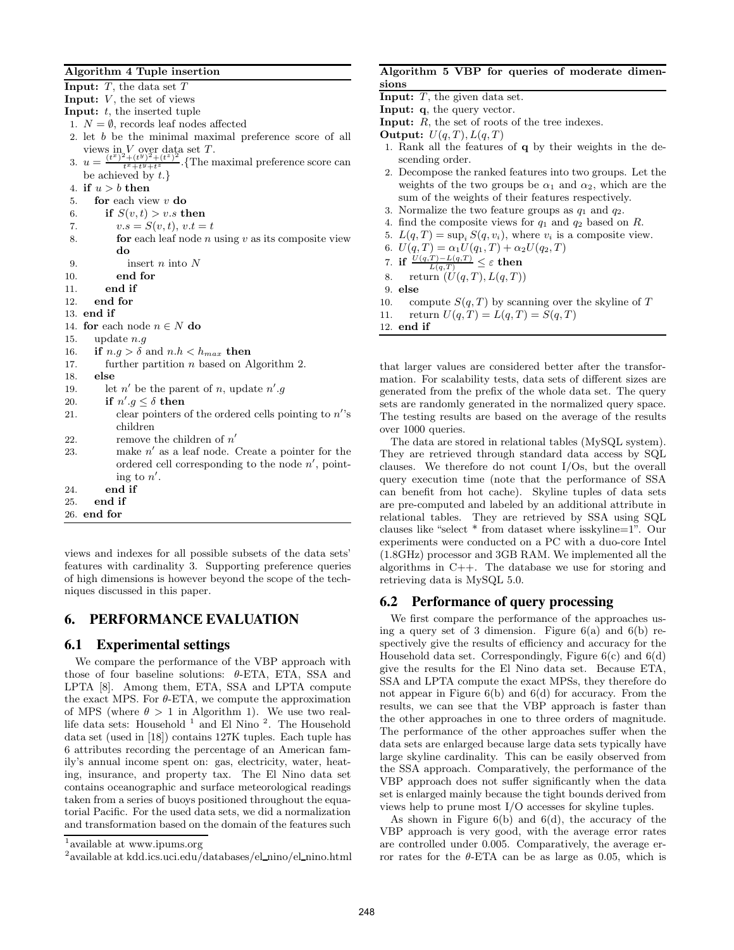#### Algorithm 4 Tuple insertion

**Input:**  $T$ , the data set  $T$ Input:  $V$ , the set of views **Input:**  $t$ , the inserted tuple 1.  $N = \emptyset$ , records leaf nodes affected 2. let b be the minimal maximal preference score of all views in  $V$  over data set T. 3.  $u = \frac{(t^x)^2 + (t^y)^2 + (t^z)^2}{t^x + t^y + t^z}$ . {The maximal preference score can be achieved by  $t.\}$ 4. if  $u > b$  then 5. **for** each view  $v$  **do** 6. if  $S(v,t) > v.s$  then 7.  $v.s = S(v, t), v.t = t$ 8. **for** each leaf node *n* using  $v$  as its composite view do 9. insert n into N 10. end for 11. end if 12. end for 13. end if 14. for each node  $n \in N$  do 15. update  $n.q$ 16. if  $n.q > \delta$  and  $n.h < h_{max}$  then 17. further partition n based on Algorithm 2. 18. else 19. let  $n'$  be the parent of n, update  $n'.g$ 20. if  $n'.g \leq \delta$  then 21. clear pointers of the ordered cells pointing to  $n'$ 's children 22. remove the children of  $n'$ 23. make  $n'$  as a leaf node. Create a pointer for the ordered cell corresponding to the node  $n'$ , pointing to  $n'$ . 24. end if 25. end if 26. end for

views and indexes for all possible subsets of the data sets' features with cardinality 3. Supporting preference queries of high dimensions is however beyond the scope of the techniques discussed in this paper.

#### **6. PERFORMANCE EVALUATION**

#### **6.1 Experimental settings**

We compare the performance of the VBP approach with those of four baseline solutions:  $\theta$ -ETA, ETA, SSA and LPTA [8]. Among them, ETA, SSA and LPTA compute the exact MPS. For  $\theta$ -ETA, we compute the approximation of MPS (where  $\theta > 1$  in Algorithm 1). We use two reallife data sets: Household<sup>1</sup> and El Nino<sup>2</sup>. The Household data set (used in [18]) contains 127K tuples. Each tuple has 6 attributes recording the percentage of an American family's annual income spent on: gas, electricity, water, heating, insurance, and property tax. The El Nino data set contains oceanographic and surface meteorological readings taken from a series of buoys positioned throughout the equatorial Pacific. For the used data sets, we did a normalization and transformation based on the domain of the features such

#### Algorithm 5 VBP for queries of moderate dimensions

```
Input: q, the query vector.
```
Input: R, the set of roots of the tree indexes.

```
Output: U(q,T), L(q,T)
```
- 1. Rank all the features of q by their weights in the descending order.
- 2. Decompose the ranked features into two groups. Let the weights of the two groups be  $\alpha_1$  and  $\alpha_2$ , which are the sum of the weights of their features respectively.
- 3. Normalize the two feature groups as  $q_1$  and  $q_2$ .
- 4. find the composite views for  $q_1$  and  $q_2$  based on  $R$ .
- 5.  $L(q, T) = \sup_i S(q, v_i)$ , where  $v_i$  is a composite view.
- 6.  $U(q,T) = \alpha_1 U(q_1,T) + \alpha_2 U(q_2,T)$
- 7. if  $\frac{U(q,T)-L(q,T)}{L(q,T)}\leq \varepsilon$  then
- 8. return  $(U(q,T), L(q,T))$
- 9. else
- 10. compute  $S(q, T)$  by scanning over the skyline of T
- 11. return  $U(q, T) = L(q, T) = S(q, T)$

12. end if

that larger values are considered better after the transformation. For scalability tests, data sets of different sizes are generated from the prefix of the whole data set. The query sets are randomly generated in the normalized query space. The testing results are based on the average of the results over 1000 queries.

The data are stored in relational tables (MySQL system). They are retrieved through standard data access by SQL clauses. We therefore do not count I/Os, but the overall query execution time (note that the performance of SSA can benefit from hot cache). Skyline tuples of data sets are pre-computed and labeled by an additional attribute in relational tables. They are retrieved by SSA using SQL clauses like "select \* from dataset where isskyline=1". Our experiments were conducted on a PC with a duo-core Intel (1.8GHz) processor and 3GB RAM. We implemented all the algorithms in C++. The database we use for storing and retrieving data is MySQL 5.0.

### **6.2 Performance of query processing**

We first compare the performance of the approaches using a query set of 3 dimension. Figure  $6(a)$  and  $6(b)$  respectively give the results of efficiency and accuracy for the Household data set. Correspondingly, Figure 6(c) and 6(d) give the results for the El Nino data set. Because ETA, SSA and LPTA compute the exact MPSs, they therefore do not appear in Figure 6(b) and 6(d) for accuracy. From the results, we can see that the VBP approach is faster than the other approaches in one to three orders of magnitude. The performance of the other approaches suffer when the data sets are enlarged because large data sets typically have large skyline cardinality. This can be easily observed from the SSA approach. Comparatively, the performance of the VBP approach does not suffer significantly when the data set is enlarged mainly because the tight bounds derived from views help to prune most I/O accesses for skyline tuples.

As shown in Figure 6(b) and 6(d), the accuracy of the VBP approach is very good, with the average error rates are controlled under 0.005. Comparatively, the average error rates for the θ-ETA can be as large as 0.05, which is

<sup>1</sup> available at www.ipums.org

<sup>&</sup>lt;sup>2</sup> available at kdd.ics.uci.edu/databases/el\_nino/el\_nino.html

**Input:**  $T$ , the given data set.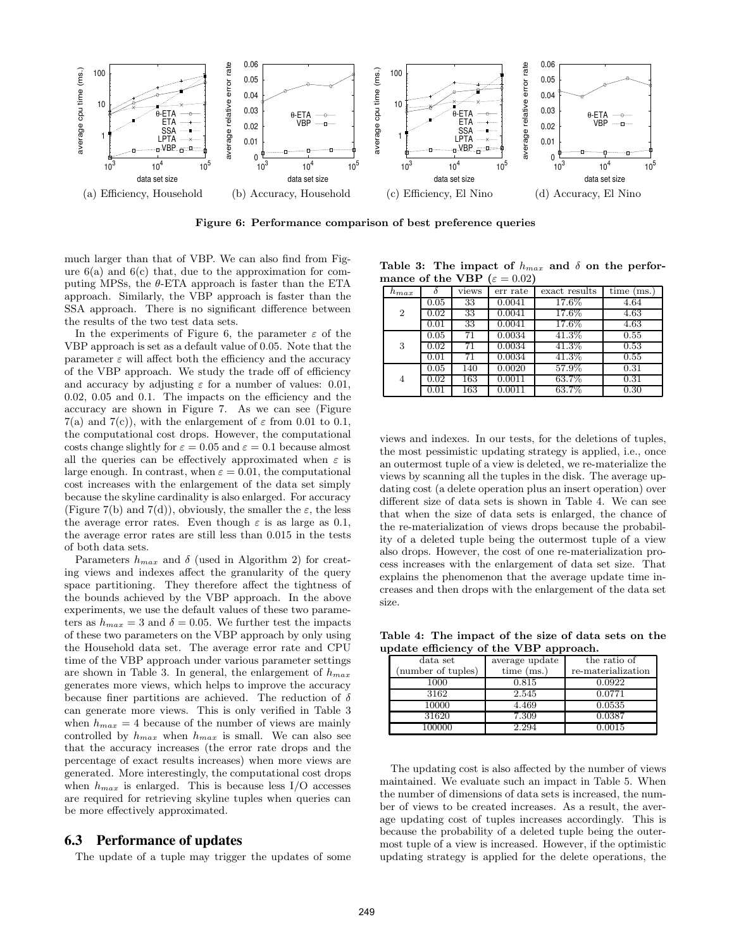

Figure 6: Performance comparison of best preference queries

much larger than that of VBP. We can also find from Figure  $6(a)$  and  $6(c)$  that, due to the approximation for computing MPSs, the  $\theta$ -ETA approach is faster than the ETA approach. Similarly, the VBP approach is faster than the SSA approach. There is no significant difference between the results of the two test data sets.

In the experiments of Figure 6, the parameter  $\varepsilon$  of the VBP approach is set as a default value of 0.05. Note that the parameter  $\varepsilon$  will affect both the efficiency and the accuracy of the VBP approach. We study the trade off of efficiency and accuracy by adjusting  $\varepsilon$  for a number of values: 0.01, 0.02, 0.05 and 0.1. The impacts on the efficiency and the accuracy are shown in Figure 7. As we can see (Figure 7(a) and 7(c)), with the enlargement of  $\varepsilon$  from 0.01 to 0.1, the computational cost drops. However, the computational costs change slightly for  $\varepsilon = 0.05$  and  $\varepsilon = 0.1$  because almost all the queries can be effectively approximated when  $\varepsilon$  is large enough. In contrast, when  $\varepsilon = 0.01$ , the computational cost increases with the enlargement of the data set simply because the skyline cardinality is also enlarged. For accuracy (Figure 7(b) and 7(d)), obviously, the smaller the  $\varepsilon$ , the less the average error rates. Even though  $\varepsilon$  is as large as 0.1, the average error rates are still less than 0.015 in the tests of both data sets.

Parameters  $h_{max}$  and  $\delta$  (used in Algorithm 2) for creating views and indexes affect the granularity of the query space partitioning. They therefore affect the tightness of the bounds achieved by the VBP approach. In the above experiments, we use the default values of these two parameters as  $h_{max} = 3$  and  $\delta = 0.05$ . We further test the impacts of these two parameters on the VBP approach by only using the Household data set. The average error rate and CPU time of the VBP approach under various parameter settings are shown in Table 3. In general, the enlargement of  $h_{max}$ generates more views, which helps to improve the accuracy because finer partitions are achieved. The reduction of  $\delta$ can generate more views. This is only verified in Table 3 when  $h_{max} = 4$  because of the number of views are mainly controlled by  $h_{max}$  when  $h_{max}$  is small. We can also see that the accuracy increases (the error rate drops and the percentage of exact results increases) when more views are generated. More interestingly, the computational cost drops when  $h_{max}$  is enlarged. This is because less I/O accesses are required for retrieving skyline tuples when queries can be more effectively approximated.

#### **6.3 Performance of updates**

The update of a tuple may trigger the updates of some

Table 3: The impact of  $h_{max}$  and  $\delta$  on the performance of the VBP  $(\varepsilon = 0.02)$ 

|                |          |       | $\cdots$ |               |              |
|----------------|----------|-------|----------|---------------|--------------|
| $h_{max}$      |          | views | err rate | exact results | time<br>(ms) |
|                | 0.05     | 33    | 0.0041   | 17.6%         | 4.64         |
| $\overline{2}$ | $0.02\,$ | 33    | 0.0041   | $17.6\%$      | 4.63         |
|                | 0.01     | 33    | 0.0041   | $17.6\%$      | 4.63         |
|                | 0.05     | 71    | 0.0034   | 41.3%         | 0.55         |
| 3              | 0.02     | 71    | 0.0034   | 41.3%         | 0.53         |
|                | 0.01     | 71    | 0.0034   | $41.3\%$      | 0.55         |
|                | 0.05     | 140   | 0.0020   | 57.9%         | 0.31         |
| 4              | 0.02     | 163   | 0.0011   | 63.7%         | 0.31         |
|                | 0.01     | 163   | 0.0011   | 63.7%         | 0.30         |

views and indexes. In our tests, for the deletions of tuples, the most pessimistic updating strategy is applied, i.e., once an outermost tuple of a view is deleted, we re-materialize the views by scanning all the tuples in the disk. The average updating cost (a delete operation plus an insert operation) over different size of data sets is shown in Table 4. We can see that when the size of data sets is enlarged, the chance of the re-materialization of views drops because the probability of a deleted tuple being the outermost tuple of a view also drops. However, the cost of one re-materialization process increases with the enlargement of data set size. That explains the phenomenon that the average update time increases and then drops with the enlargement of the data set size.

Table 4: The impact of the size of data sets on the update efficiency of the VBP approach.

| data set           | average update | the ratio of       |  |  |  |
|--------------------|----------------|--------------------|--|--|--|
| (number of tuples) | time $(ms.)$   | re-materialization |  |  |  |
| 1000               | 0.815          | 0.0922             |  |  |  |
| 3162               | 2.545          | 0.0771             |  |  |  |
| 10000              | 4.469          | 0.0535             |  |  |  |
| 31620              | 7.309          | 0.0387             |  |  |  |
| 100000             | 2.294          | 0.0015             |  |  |  |

The updating cost is also affected by the number of views maintained. We evaluate such an impact in Table 5. When the number of dimensions of data sets is increased, the number of views to be created increases. As a result, the average updating cost of tuples increases accordingly. This is because the probability of a deleted tuple being the outermost tuple of a view is increased. However, if the optimistic updating strategy is applied for the delete operations, the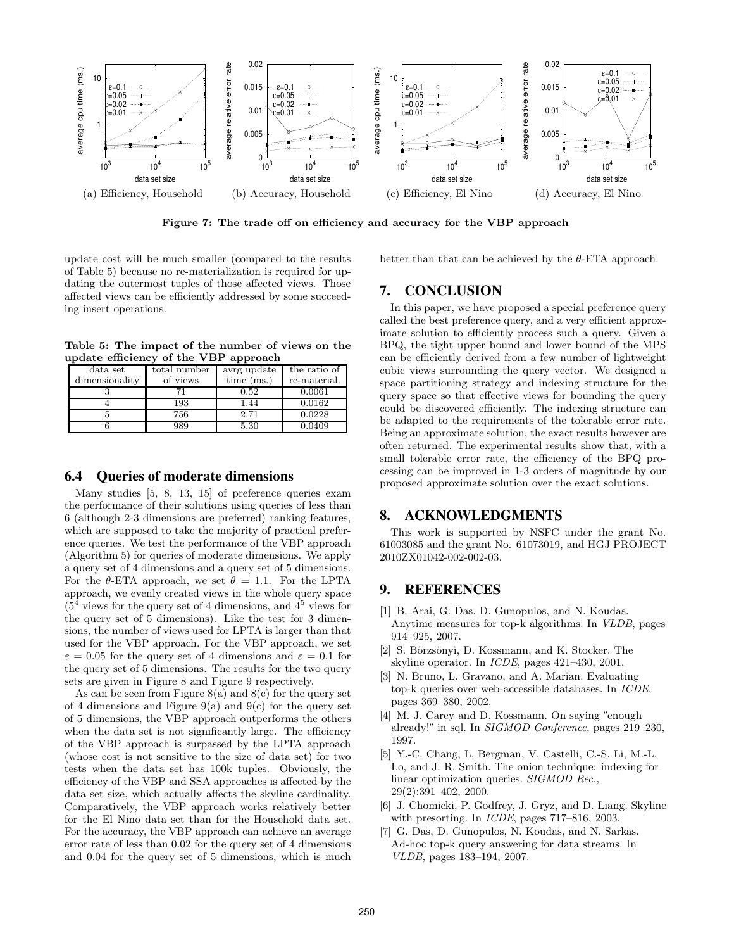

Figure 7: The trade off on efficiency and accuracy for the VBP approach

update cost will be much smaller (compared to the results of Table 5) because no re-materialization is required for updating the outermost tuples of those affected views. Those affected views can be efficiently addressed by some succeeding insert operations.

Table 5: The impact of the number of views on the update efficiency of the VBP approach

| data set<br>dimensionality | total number<br>of views | avrg update<br>time (ms.) | the ratio of<br>re-material. |
|----------------------------|--------------------------|---------------------------|------------------------------|
|                            |                          | 0.52                      | 0.0061                       |
|                            | 193                      | 1.44                      | 0.0162                       |
|                            | 756                      | 2.71                      | 0.0228                       |
|                            | 989                      | 5.30                      | 0.0409                       |

#### **6.4 Queries of moderate dimensions**

Many studies [5, 8, 13, 15] of preference queries exam the performance of their solutions using queries of less than 6 (although 2-3 dimensions are preferred) ranking features, which are supposed to take the majority of practical preference queries. We test the performance of the VBP approach (Algorithm 5) for queries of moderate dimensions. We apply a query set of 4 dimensions and a query set of 5 dimensions. For the  $\theta$ -ETA approach, we set  $\theta = 1.1$ . For the LPTA approach, we evenly created views in the whole query space  $(5<sup>4</sup>$  views for the query set of 4 dimensions, and  $4<sup>5</sup>$  views for the query set of 5 dimensions). Like the test for 3 dimensions, the number of views used for LPTA is larger than that used for the VBP approach. For the VBP approach, we set  $\varepsilon = 0.05$  for the query set of 4 dimensions and  $\varepsilon = 0.1$  for the query set of 5 dimensions. The results for the two query sets are given in Figure 8 and Figure 9 respectively.

As can be seen from Figure  $8(a)$  and  $8(c)$  for the query set of 4 dimensions and Figure 9(a) and 9(c) for the query set of 5 dimensions, the VBP approach outperforms the others when the data set is not significantly large. The efficiency of the VBP approach is surpassed by the LPTA approach (whose cost is not sensitive to the size of data set) for two tests when the data set has 100k tuples. Obviously, the efficiency of the VBP and SSA approaches is affected by the data set size, which actually affects the skyline cardinality. Comparatively, the VBP approach works relatively better for the El Nino data set than for the Household data set. For the accuracy, the VBP approach can achieve an average error rate of less than 0.02 for the query set of 4 dimensions and 0.04 for the query set of 5 dimensions, which is much better than that can be achieved by the  $\theta$ -ETA approach.

#### **7. CONCLUSION**

In this paper, we have proposed a special preference query called the best preference query, and a very efficient approximate solution to efficiently process such a query. Given a BPQ, the tight upper bound and lower bound of the MPS can be efficiently derived from a few number of lightweight cubic views surrounding the query vector. We designed a space partitioning strategy and indexing structure for the query space so that effective views for bounding the query could be discovered efficiently. The indexing structure can be adapted to the requirements of the tolerable error rate. Being an approximate solution, the exact results however are often returned. The experimental results show that, with a small tolerable error rate, the efficiency of the BPQ processing can be improved in 1-3 orders of magnitude by our proposed approximate solution over the exact solutions.

#### **8. ACKNOWLEDGMENTS**

This work is supported by NSFC under the grant No. 61003085 and the grant No. 61073019, and HGJ PROJECT 2010ZX01042-002-002-03.

#### **9. REFERENCES**

- [1] B. Arai, G. Das, D. Gunopulos, and N. Koudas. Anytime measures for top-k algorithms. In VLDB, pages 914–925, 2007.
- [2] S. Börzsönyi, D. Kossmann, and K. Stocker. The skyline operator. In ICDE, pages 421–430, 2001.
- [3] N. Bruno, L. Gravano, and A. Marian. Evaluating top-k queries over web-accessible databases. In ICDE, pages 369–380, 2002.
- [4] M. J. Carey and D. Kossmann. On saying "enough" already!" in sql. In SIGMOD Conference, pages 219–230, 1997.
- [5] Y.-C. Chang, L. Bergman, V. Castelli, C.-S. Li, M.-L. Lo, and J. R. Smith. The onion technique: indexing for linear optimization queries. SIGMOD Rec., 29(2):391–402, 2000.
- [6] J. Chomicki, P. Godfrey, J. Gryz, and D. Liang. Skyline with presorting. In ICDE, pages 717–816, 2003.
- [7] G. Das, D. Gunopulos, N. Koudas, and N. Sarkas. Ad-hoc top-k query answering for data streams. In VLDB, pages 183–194, 2007.